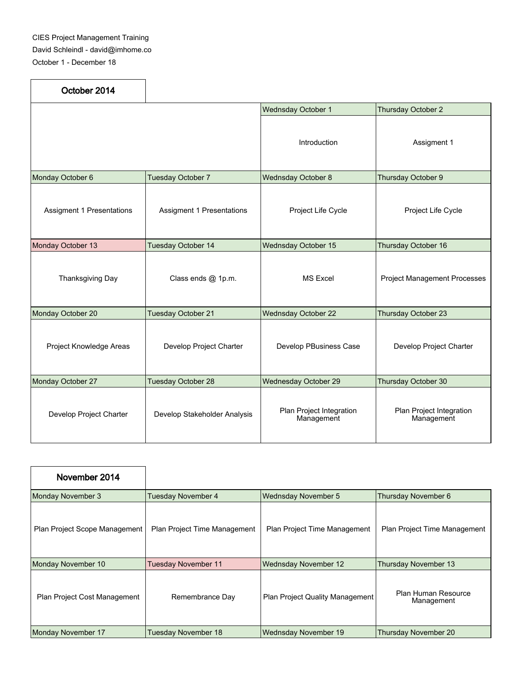| October 2014                     |                                  |                                        |                                        |
|----------------------------------|----------------------------------|----------------------------------------|----------------------------------------|
|                                  |                                  | <b>Wednsday October 1</b>              | Thursday October 2                     |
|                                  |                                  | Introduction                           | Assigment 1                            |
| Monday October 6                 | <b>Tuesday October 7</b>         | <b>Wednsday October 8</b>              | Thursday October 9                     |
| <b>Assigment 1 Presentations</b> | <b>Assigment 1 Presentations</b> | Project Life Cycle                     | Project Life Cycle                     |
| Monday October 13                | Tuesday October 14               | <b>Wednsday October 15</b>             | Thursday October 16                    |
| Thanksgiving Day                 | Class ends @ 1p.m.               | <b>MS Excel</b>                        | <b>Project Management Processes</b>    |
| Monday October 20                | Tuesday October 21               | <b>Wednsday October 22</b>             | Thursday October 23                    |
| Project Knowledge Areas          | Develop Project Charter          | Develop PBusiness Case                 | Develop Project Charter                |
| Monday October 27                | Tuesday October 28               | <b>Wednesday October 29</b>            | Thursday October 30                    |
| Develop Project Charter          | Develop Stakeholder Analysis     | Plan Project Integration<br>Management | Plan Project Integration<br>Management |

| November 2014                       |                              |                                        |                                   |
|-------------------------------------|------------------------------|----------------------------------------|-----------------------------------|
| Monday November 3                   | <b>Tuesday November 4</b>    | <b>Wednsday November 5</b>             | Thursday November 6               |
| Plan Project Scope Management       | Plan Project Time Management | Plan Project Time Management           | Plan Project Time Management      |
| Monday November 10                  | <b>Tuesday November 11</b>   | <b>Wednsday November 12</b>            | Thursday November 13              |
| <b>Plan Project Cost Management</b> | Remembrance Day              | <b>Plan Project Quality Management</b> | Plan Human Resource<br>Management |
| Monday November 17                  | <b>Tuesday November 18</b>   | Wednsday November 19                   | <b>Thursday November 20</b>       |